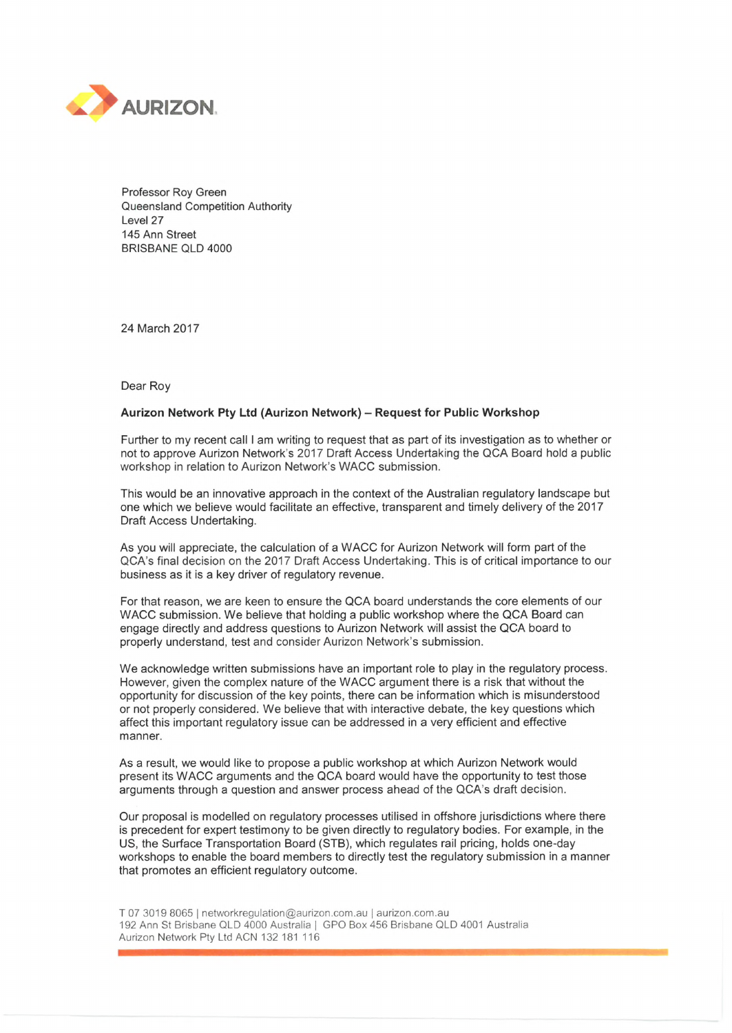

Professor Roy Green Queensland Competition Authority Level 27 145 Ann Street BRISBANE QLD 4000

24 March 2017

Dear Roy

## **Aurizon Network Pty Ltd (Aurizon Network) - Request for Public Workshop**

Further to my recent call <sup>I</sup> am writing to request that as part of its investigation as to whether or not to approve Aurizon Network's 2017 Draft Access Undertaking the QCA Board hold a public workshop in relation to Aurizon Network's WACC submission.

This would be an innovative approach in the context of the Australian regulatory landscape but one which we believe would facilitate an effective, transparent and timely delivery of the 2017 Draft Access Undertaking.

As you will appreciate, the calculation of a WACC for Aurizon Network will form part of the QCA's final decision on the 2017 Draft Access Undertaking. This is of critical importance to our business as it is a key driver of regulatory revenue.

For that reason, we are keen to ensure the QCA board understands the core elements of our WACC submission. We believe that holding a public workshop where the QCA Board can engage directly and address questions to Aurizon Network will assist the QCA board to properly understand, test and consider Aurizon Network's submission.

We acknowledge written submissions have an important role to play in the regulatory process. However, given the complex nature of the WACC argument there is a risk that without the opportunity for discussion of the key points, there can be information which is misunderstood or not properly considered. We believe that with interactive debate, the key questions which affect this important regulatory issue can be addressed in a very efficient and effective manner.

As a result, we would like to propose a public workshop at which Aurizon Network would present its WACC arguments and the QCA board would have the opportunity to test those arguments through a question and answer process ahead of the QCA's draft decision.

Our proposal is modelled on regulatory processes utilised in offshore jurisdictions where there is precedent for expert testimony to be given directly to regulatory bodies. For example, in the US, the Surface Transportation Board (STB), which regulates rail pricing, holds one-day workshops to enable the board members to directly test the regulatory submission in a manner that promotes an efficient regulatory outcome.

T 07 3019 8065 <sup>|</sup> [networkregulation@aurizon.com.au](mailto:networkregulation@aurizon.com.au) <sup>|</sup> aurizon.com.au 192 Ann St Brisbane QLD 4000 Australia <sup>|</sup> GPO Box 456 Brisbane QLD 4001 Australia Aurizon Network Pty Ltd ACN 132 181 116